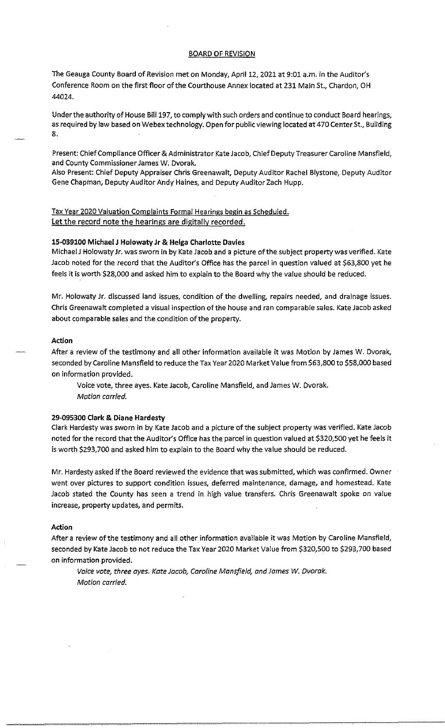## BOARD OF REVISION

The Geauga County Board of Revision met on Monday, April 12, 2021 at 9:01 a.m. in the Auditor's Conference Room on the first floor of the Courthouse Annex located at 231 Main St., Chardon, OH 44024.

Under the authority of House Bill 197, to comply with such orders and continue to conduct Board hearings, as required by law based on Webex technology. Open for public viewing located at 470 Center St., Building 8.

Present: Chief Compliance Officer & Administrator Kate Jacob, Chief Deputy Treasurer Caroline Mansfield, and County Commissioner James W. Dvorak.

Also Present: Chief Deputy Appraiser Chris Greenawalt, Deputy Auditor Rachel Blystone, Deputy Auditor Gene Chapman, Deputy Auditor Andy Haines, and Deputy Auditor Zach Hupp.

# Tax Year 2020 Valuation Complaints Formal Hearings begin as Scheduled. Let the record note the hearings are digitally recorded.

#### **15·039100 Michael J Holowaty Jr & Helga Charlotte Davies**

Michael J Holowaty Jr. was sworn in by Kate Jacob and a picture of the subject property was verified. Kate Jacob noted for the record that the Auditor's Office has the parcel in question valued at \$63,800 yet he feels it is worth \$28,000 and asked him to explain to the Board why the value should be reduced.

Mr. Holowaty Jr. discussed land issues, condition of the dwelling, repairs needed, and drainage issues. Chris Greenawalt completed a visual inspection of the house and ran comparable sales. Kate Jacob asked about comparable sales and the condition of the property.

# **Action**

After a review of the testimony and all other information available it was Motion by James W. Dvorak, seconded by Caroline Mansfield to reduce the Tax Year 2020 Market Value from \$63,800 to \$58,000 based on information provided.

Voice vote, three ayes. Kate Jacob, Caroline Mansfield, and James W. Dvorak. Motion carried.

## **29-095300 Clark & Diane Hardesty**

Clark Hardesty was sworn in by Kate Jacob and a picture of the subject property was verified. Kate Jacob noted for the record that the Auditor's Office has the parcel in question valued at \$320,500 yet he feels it is worth \$293,700 and asked him to explain to the Board why the value should be reduced.

Mr. Hardesty asked if the Board reviewed the evidence that was submitted, which was confirmed. Owner went over pictures to support condition issues, deferred maintenance, damage, and homestead. Kate Jacob stated the County has seen a trend in high value transfers. Chris Greenawalt spoke on value increase, property updates, and permits.

### **Action**

After a review of the testimony and all other information available it was Motion by Caroline Mansfield, seconded by Kate Jacob to not reduce the Tax Year 2020 Market Value from \$320,500 to \$293,700 based on information provided.

Voice vote, three ayes. Kate Jacob, Caroline Mansfield, and James W. Dvorak. Motion carried.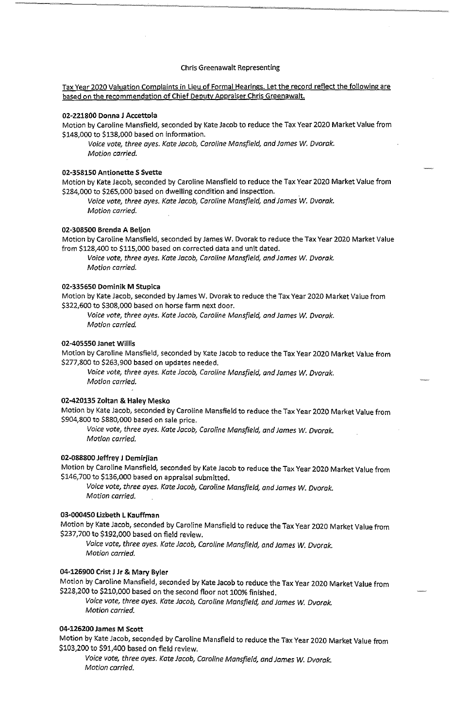## Chris Greenawalt Representing

Tax Year 2020 Valuation Complaints in Lieu of Formal Hearings. Let the record reflect the following are based on the recommendation of Chief Deputy Appraiser Chris Greenawalt.

#### **02-221800 Donna J Accettola**

Motion by Caroline Mansfield, seconded by Kate Jacob to reduce the Tax Year 2020 Market Value from \$148,000 to \$138,000 based on information.

Voice vote, three ayes. Kate Jacob, Caroline Mansfield, and James W. Dvorak. Motion carried.

#### **02-358150 Antionette S Svette**

Motion by Kate Jacob, seconded by Caroline Mansfield to reduce the Tax Year 2020 Market Value from \$284,000 to \$265,000 based on dwelling condition and inspection.

Voice vote, three ayes. Kate Jacob, Caroline Mansfield, and James W. Dvorak. Motion carried.

## **02-308500 Brenda A Beljon**

Motion by Caroline Mansfield, seconded by James W. Dvorak to reduce the Tax Year 2020 Market Value from \$128,400 to \$115,000 based on corrected data and unit dated.

Voice vote, three ayes. Kate Jacob, Caroline Mansfield, and James W. Dvorak. Motion carried.

#### 02-335650 Dominik M Stupica

Motion by Kate Jacob, seconded by James W. Dvorak to reduce the Tax Year 2020 Market Value from \$322,600 to \$308,000 based on horse farm next door.

Voice vote, three ayes. Kate Jacob, Caroline Mansfield, and James W. Dvorak. Motion carried.

#### **02-405550 Janet Willis**

Motion by Caroline Mansfield, seconded by Kate Jacob to reduce the Tax Year 2020 Market Value from \$277,800 to \$263,900 based on updates needed.

Voice vote, three ayes. Kate Jacob, Caroline Mansfield, and James W. Dvorak. Motion carried.

## **02-420135 Zoltan & Haley Mesko**

Motion by Kate Jacob, seconded by Caroline Mansfield to reduce the Tax Year 2020 Market Value from \$904,800 to \$880,000 based on sale price.

Voice vote, three ayes. Kate Jacob, Caroline Mansfield, and James *w.* Dvorak. Motion carried.

# **02-088800 Jeffrey J Demirjian**

Motion by Caroline Mansfield, seconded by Kate Jacob to reduce the Tax Year 2020 Market Value from \$146,700 to \$136,000 based on appraisal submitted.

Voice vote, three ayes. Kate Jacob, Caroline Mansfield, and James *W.* Dvorak. Motion carried.

# **03-000450 Lizbeth L Kauffman**

Motion by Kate Jacob, seconded by Caroline Mansfield to reduce the Tax Year 2020 Market Value from \$237,700 to \$192,000 based on field review.

Voice vote, three ayes. Kate Jacob, Caroline Mansfield, and James W. Dvorak. Motion carried.

## **04-126900 Crist J Jr & Mary Byler**

Motion by Caroline Mansfield, seconded by Kate Jacob to reduce the Tax Year 2020 Market Value from \$228,200 to \$210,000 based on the second floor not 100% finished.

Voice vote, three ayes. Kate Jacob, Caroline Mansfield, and James W. Dvorak. Motion carried.

## **04-126200 James M Scott**

Motion by Kate Jacob, seconded by Caroline Mansfield to reduce the Tax Year 2020 Market Value from \$103,200 to \$91,400 based on field review.

Voice vote, three ayes. Kate Jacob, Caroline Mansfield, and James w. Dvorak. Motion carried.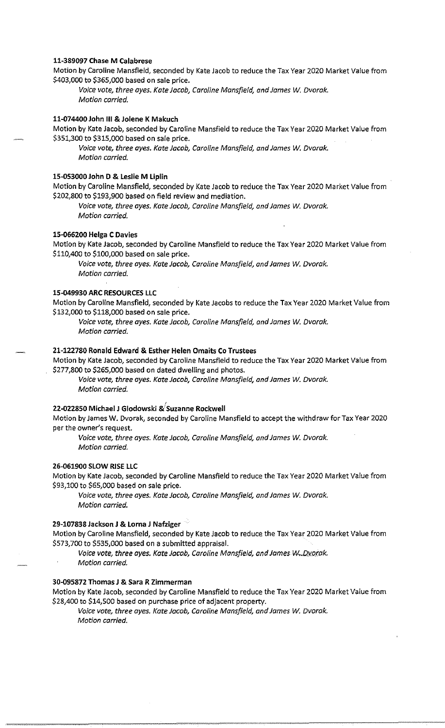## **11-389097 Chase M Calabrese**

Motion by Caroline Mansfield, seconded by Kate Jacob to reduce the Tax Year 2020 Market Value from \$403,000 to \$365,000 based on sale price.

Voice vote, three ayes. Kate Jacob, Caroline Mansfield, and James *W.* Dvorak. Motion carried.

### **11-074400 John** Ill & **Jolene K Makuch**

Motion by Kate Jacob, seconded by Caroline Mansfield to reduce the Tax Year 2020 Market Value from \$351,300 to \$315,000 based on sale price.

Voice vote, three ayes. Kate Jacob, Caroline Mansfield, and James W. Dvorak. Motion carried.

### **15-053000 John D & Leslie M Liplin**

Motion by Caroline Mansfield, seconded by Kate Jacob to reduce the Tax Year 2020 Market Value from \$202,800 to \$193,900 based on field review and mediation.

Voice vote, three ayes. Kate Jacob, Caroline Mansfield, and James *W.* Dvorak. Motion carried.

#### **15-066200 Helga C Davies**

Motion by Kate Jacob, seconded by Caroline Mansfield to reduce the Tax Year 2020 Market Value from \$110,400 to \$100,000 based on sale price.

Voice vote, three ayes. Kate Jacob, Caroline Mansfield, and James W. Dvorak. Motion carried.

## **15-049930 ARC RESOURCES LLC**

Motion by Caroline Mansfield, seconded by Kate Jacobs to reduce the Tax Year 2020 Market Value from \$132,000 to \$118,000 based on sale price.

Voice vote, three ayes. Kate Jacob, Caroline Mansfield, and James W. Dvorak. Motion carried.

## **21-122780 Ronald Edward & Esther Helen Omaits Co Trustees**

Motion by Kate Jacob, seconded by Caroline Mansfield to reduce the Tax Year 2020 Market Value from \$277,800 to \$265,000 based on dated dwelling and photos.

Voice vote, three ayes. Kate Jacob, Caroline Mansfield, and James W. Dvorak. Motion carried.

## **22-022850 Michael J Glodowski &'suzanne Rockwell**

Motion by James W. Dvorak, seconded by Caroline Mansfield to accept the withdraw for Tax Year 2020 per the owner's request.

Voice vote, three ayes. Kate Jacob, Caroline Mansfield, and James W. Dvorak. Motion carried.

## **26-061900 SLOW RISE LLC**

Motion by Kate Jacob, seconded by Caroline Mansfield to reduce the Tax Year 2020 Market Value from \$93,100 to \$65,000 based on sale price.

Voice vote, three ayes. Kate Jacob, Caroline Mansfield, and James W. Dvorak. Motion carried.

#### **29-107838 Jackson J & Lorna J Nafziger**

Motion by Caroline Mansfield, seconded by Kate Jacob to reduce the Tax Year 2020 Market Value from \$573,700 to \$535,000 based on a submitted appraisal.

Voice vote, three ayes. Kate Jacob, Caroline Mansfield, and James W. Dvorak. Motion carried.

#### **30-095872 Thomas J & Sara R Zimmerman**

Motion by Kate Jacob, seconded by Caroline Mansfield to reduce the Tax Year 2020 Market Value from \$28,400 to \$14,500 based on purchase price of adjacent property.

Voice vote, three ayes. Kate Jacob, Caroline Mansfield, and James *W.* Dvorak. Motion carried.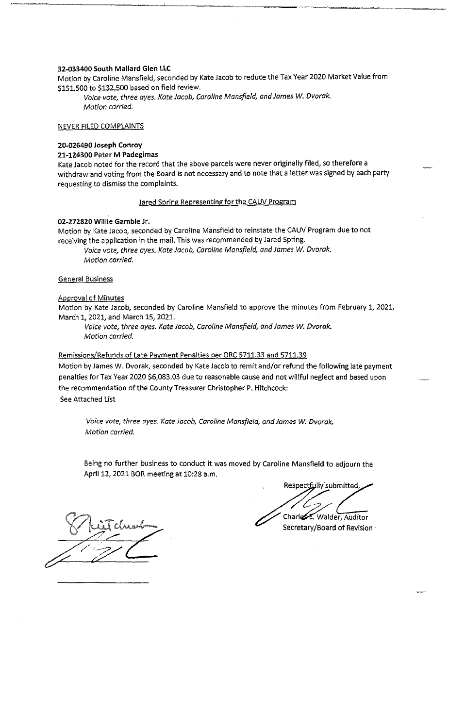## 32-033400 South Mallard Glen LLC

Motion by Caroline Mansfield, seconded by Kate Jacob to reduce the Tax Year 2020 Market Value from \$151,500 to \$132,500 based on field review.

Voice vote, three ayes. Kate Jacob, Caroline Mansfield, and James W. Dvorak. Motion carried.

## NEVER FILED COMPLAINTS

#### 20-026490 Joseph Conroy

#### 21-124300 Peter M Padegimas

Kate Jacob noted for the record that the above parcels were never originally filed, so therefore a withdraw and voting from the Board is not necessary and to note that a letter was signed by each party requesting to dismiss the complaints.

Jared Spring Representing for the CAUV Program

## 02-272820 Willie Gamble Jr.

Motion by Kate Jacob, seconded by Caroline Mansfield to reinstate the CAUV Program due to not receiving the application in the mail. This was recommended by Jared Spring.

Voice vote, three ayes. Kate Jacob, Caroline Mansfield, and James W. Dvorak. Motion carried.

### General Business

#### Approval of Minutes

Motion by Kate Jacob, seconded by Caroline Mansfield to approve the minutes from February 1, 2021, March 1, 2021, and March 15, 2021.

Voice vote, three ayes. Kate Jacob, Caroline Mansfield, and James W. Dvorak. Motion carried.

## Remissions/Refunds of Late Payment Penalties per ORC 5711.33 and 5711.39

Motion by James W. Dvorak, seconded by Kate Jacob to remit and/or refund the following late payment penalties for Tax Year 2020 \$6,083.03 due to reasonable cause and not willful neglect and based upon the recommendation of the County Treasurer Christopher P. Hitchcock: See Attached List

Voice vote, three ayes. Kate Jacob, Caroline Mansfield, and James W. Dvorak. Motion carried.

Being no further business to conduct it was moved by Caroline Mansfield to adjourn the April 12, 2021 BOR meeting at 10:28 a.m.

Respectfully submitted, Charles E. Walder, Auditor

Secretary/Board of Revision·